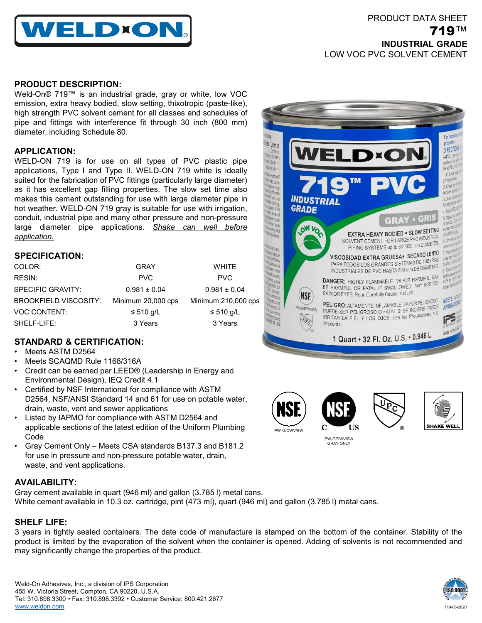

### **PRODUCT DESCRIPTION:**

Weld-On® 719™ is an industrial grade, gray or white, low VOC emission, extra heavy bodied, slow setting, thixotropic (paste-like), high strength PVC solvent cement for all classes and schedules of pipe and fittings with interference fit through 30 inch (800 mm) diameter, including Schedule 80.

## **APPLICATION:**

WELD-ON 719 is for use on all types of PVC plastic pipe applications, Type I and Type II. WELD-ON 719 white is ideally suited for the fabrication of PVC fittings (particularly large diameter) as it has excellent gap filling properties. The slow set time also makes this cement outstanding for use with large diameter pipe in hot weather. WELD-ON 719 gray is suitable for use with irrigation, conduit, industrial pipe and many other pressure and non-pressure large diameter pipe applications. *Shake can well before application.*

### **SPECIFICATION:**

| COLOR:                       | GRAY               | <b>WHITE</b>        |
|------------------------------|--------------------|---------------------|
| RESIN:                       | <b>PVC</b>         | <b>PVC</b>          |
| <b>SPECIFIC GRAVITY:</b>     | $0.981 \pm 0.04$   | $0.981 \pm 0.04$    |
| <b>BROOKFIELD VISCOSITY:</b> | Minimum 20,000 cps | Minimum 210,000 cps |
| <b>VOC CONTENT:</b>          | $\leq 510$ g/L     | $\leq 510$ g/L      |
| SHELF-LIFE:                  | 3 Years            | 3 Years             |

# **STANDARD & CERTIFICATION:**

- Meets ASTM D2564
- Meets SCAQMD Rule 1168/316A
- Credit can be earned per LEED® (Leadership in Energy and Environmental Design), IEQ Credit 4.1
- Certified by NSF International for compliance with ASTM D2564, NSF/ANSI Standard 14 and 61 for use on potable water, drain, waste, vent and sewer applications
- Listed by IAPMO for compliance with ASTM D2564 and applicable sections of the latest edition of the Uniform Plumbing Code
- Gray Cement Only Meets CSA standards B137.3 and B181.2 for use in pressure and non-pressure potable water, drain, waste, and vent applications.

## **AVAILABILITY:**

Gray cement available in quart (946 ml) and gallon (3.785 l) metal cans. White cement available in 10.3 oz. cartridge, pint (473 ml), quart (946 ml) and gallon (3.785 l) metal cans.

### **SHELF LIFE:**

3 years in tightly sealed containers. The date code of manufacture is stamped on the bottom of the container. Stability of the product is limited by the evaporation of the solvent when the container is opened. Adding of solvents is not recommended and may significantly change the properties of the product.









PW-G/DWV/SW GRAY ONLY



719-08-2020